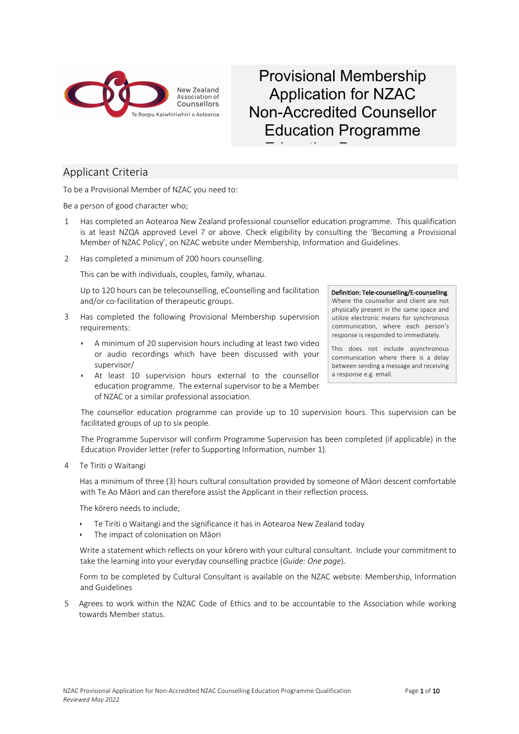

# Provisional Membership Application for NZAC Non-Accredited Counsellor Education Programme

Education Programme

# Applicant Criteria

To be a Provisional Member of NZAC you need to:

Be a person of good character who;

- 1 Has completed an Aotearoa New Zealand professional counsellor education programme. This qualification is at least NZQA approved Level 7 or above. Check eligibility by consulting the 'Becoming a Provisional Member of NZAC Policy', on NZAC website under Membership, Information and Guidelines.
- 2 Has completed a minimum of 200 hours counselling.

This can be with individuals, couples, family, whanau.

Up to 120 hours can be telecounselling, eCounselling and facilitation and/or co-facilitation of therapeutic groups.

- 3 Has completed the following Provisional Membership supervision requirements:
	- $\triangleright$  A minimum of 20 supervision hours including at least two video or audio recordings which have been discussed with your supervisor/
	- At least 10 supervision hours external to the counsellor education programme. The external supervisor to be a Member of NZAC or a similar professional association.

#### Definition: Tele-counselling/E-counselling.

Where the counsellor and client are not physically present in the same space and utilize electronic means for synchronous communication, where each person's response is responded to immediately.

This does not include asynchronous communication where there is a delay between sending a message and receiving a response e.g. email.

The counsellor education programme can provide up to 10 supervision hours. This supervision can be facilitated groups of up to six people.

The Programme Supervisor will confirm Programme Supervision has been completed (if applicable) in the Education Provider letter (refer to Supporting Information, number 1).

4 Te Tiriti o Waitangi

Has a minimum of three (3) hours cultural consultation provided by someone of Māori descent comfortable with Te Ao Māori and can therefore assist the Applicant in their reflection process.

The kōrero needs to include;

- Te Tiriti o Waitangi and the significance it has in Aotearoa New Zealand today
- ê The impact of colonisation on Māori

Write a statement which reflects on your kōrero with your cultural consultant. Include your commitment to take the learning into your everyday counselling practice (*Guide: One page*).

Form to be completed by Cultural Consultant is available on the NZAC website: Membership, Information and Guidelines

5 Agrees to work within the NZAC Code of Ethics and to be accountable to the Association while working towards Member status.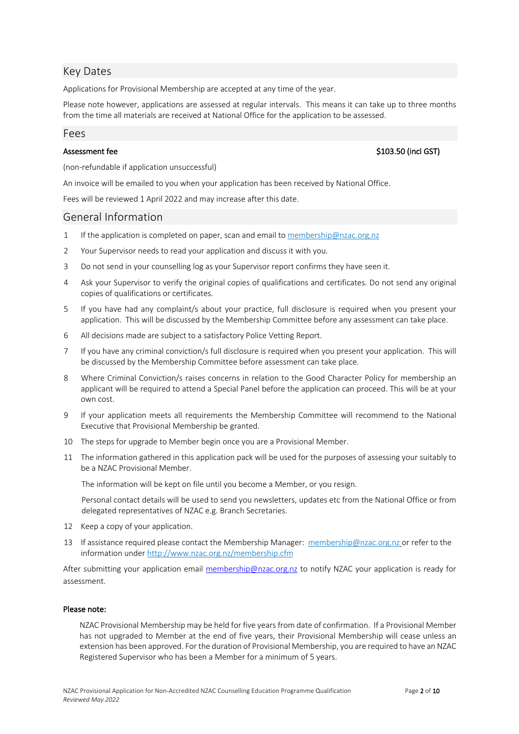## Key Dates

Applications for Provisional Membership are accepted at any time of the year.

Please note however, applications are assessed at regular intervals. This means it can take up to three months from the time all materials are received at National Office for the application to be assessed.

#### Fees

Assessment fee \$103.50 (incl GST)

(non-refundable if application unsuccessful)

An invoice will be emailed to you when your application has been received by National Office.

Fees will be reviewed 1 April 2022 and may increase after this date.

### General Information

- 1 If the application is completed on paper, scan and email to membership@nzac.org.nz
- 2 Your Supervisor needs to read your application and discuss it with you.
- 3 Do not send in your counselling log as your Supervisor report confirms they have seen it.
- 4 Ask your Supervisor to verify the original copies of qualifications and certificates. Do not send any original copies of qualifications or certificates.
- 5 If you have had any complaint/s about your practice, full disclosure is required when you present your application. This will be discussed by the Membership Committee before any assessment can take place.
- 6 All decisions made are subject to a satisfactory Police Vetting Report.
- 7 If you have any criminal conviction/s full disclosure is required when you present your application. This will be discussed by the Membership Committee before assessment can take place.
- 8 Where Criminal Conviction/s raises concerns in relation to the Good Character Policy for membership an applicant will be required to attend a Special Panel before the application can proceed. This will be at your own cost.
- 9 If your application meets all requirements the Membership Committee will recommend to the National Executive that Provisional Membership be granted.
- 10 The steps for upgrade to Member begin once you are a Provisional Member.
- 11 The information gathered in this application pack will be used for the purposes of assessing your suitably to be a NZAC Provisional Member.

The information will be kept on file until you become a Member, or you resign.

Personal contact details will be used to send you newsletters, updates etc from the National Office or from delegated representatives of NZAC e.g. Branch Secretaries.

- 12 Keep a copy of your application.
- 13 If assistance required please contact the Membership Manager: membership@nzac.org.nz or refer to the information under http://www.nzac.org.nz/membership.cfm

After submitting your application email membership@nzac.org.nz to notify NZAC your application is ready for assessment.

#### Please note:

NZAC Provisional Membership may be held for five years from date of confirmation. If a Provisional Member has not upgraded to Member at the end of five years, their Provisional Membership will cease unless an extension has been approved. For the duration of Provisional Membership, you are required to have an NZAC Registered Supervisor who has been a Member for a minimum of 5 years.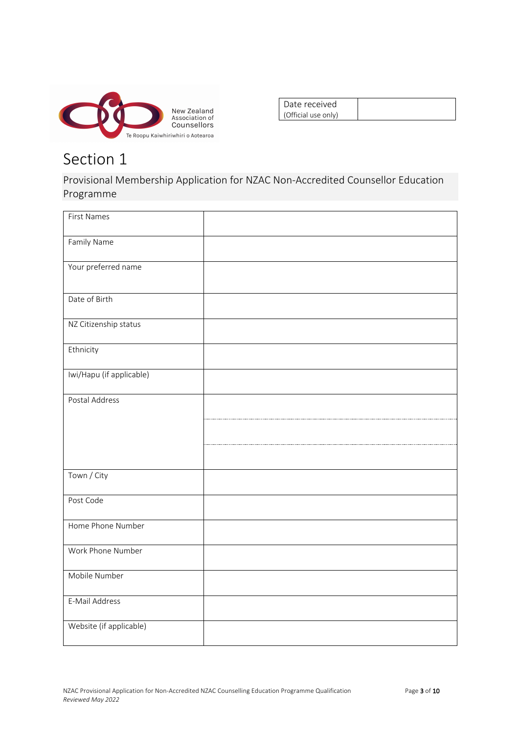

| Date received       |  |
|---------------------|--|
| (Official use only) |  |

# Section 1

Provisional Membership Application for NZAC Non-Accredited Counsellor Education Programme

| <b>First Names</b>       |  |
|--------------------------|--|
| Family Name              |  |
| Your preferred name      |  |
| Date of Birth            |  |
| NZ Citizenship status    |  |
| Ethnicity                |  |
| Iwi/Hapu (if applicable) |  |
| Postal Address           |  |
|                          |  |
|                          |  |
| Town / City              |  |
| Post Code                |  |
| Home Phone Number        |  |
| Work Phone Number        |  |
| Mobile Number            |  |
| E-Mail Address           |  |
| Website (if applicable)  |  |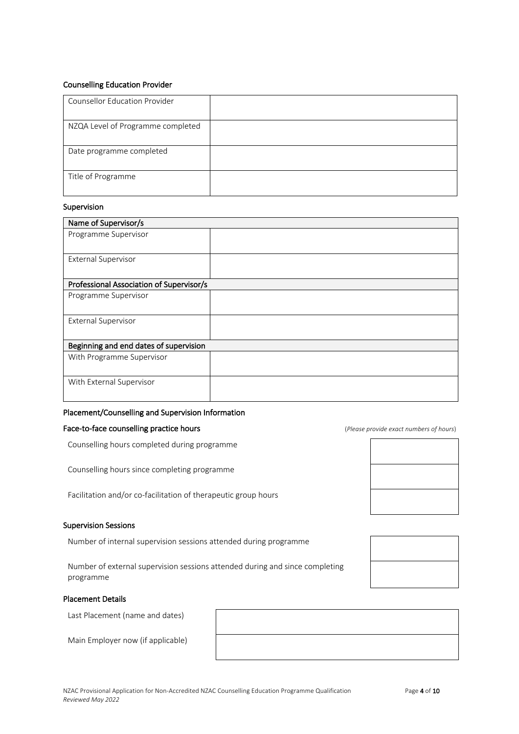#### Counselling Education Provider

| <b>Counsellor Education Provider</b> |  |
|--------------------------------------|--|
| NZQA Level of Programme completed    |  |
| Date programme completed             |  |
| Title of Programme                   |  |

#### Supervision

| Name of Supervisor/s                     |  |
|------------------------------------------|--|
| Programme Supervisor                     |  |
| <b>External Supervisor</b>               |  |
| Professional Association of Supervisor/s |  |
| Programme Supervisor                     |  |
| <b>External Supervisor</b>               |  |
| Beginning and end dates of supervision   |  |
| With Programme Supervisor                |  |
| With External Supervisor                 |  |

#### Placement/Counselling and Supervision Information

### Face-to-face counselling practice hours and the set of the set of *Please provide exact numbers of hours*)

Counselling hours completed during programme

Counselling hours since completing programme

Facilitation and/or co-facilitation of therapeutic group hours

#### Supervision Sessions

Number of internal supervision sessions attended during programme

Number of external supervision sessions attended during and since completing programme

#### Placement Details

Last Placement (name and dates)

Main Employer now (if applicable)





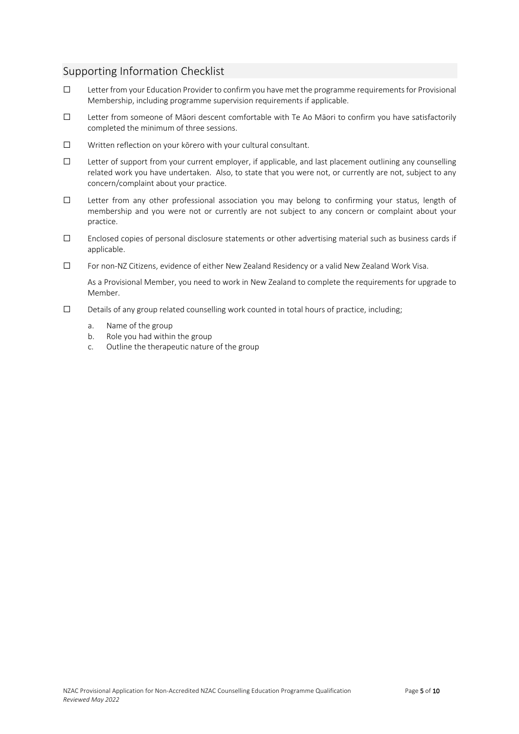# Supporting Information Checklist

- ☐ Letter from your Education Provider to confirm you have met the programme requirements for Provisional Membership, including programme supervision requirements if applicable.
- ☐ Letter from someone of Māori descent comfortable with Te Ao Māori to confirm you have satisfactorily completed the minimum of three sessions.
- ☐ Written reflection on your kōrero with your cultural consultant.
- ☐ Letter of support from your current employer, if applicable, and last placement outlining any counselling related work you have undertaken. Also, to state that you were not, or currently are not, subject to any concern/complaint about your practice.
- ☐ Letter from any other professional association you may belong to confirming your status, length of membership and you were not or currently are not subject to any concern or complaint about your practice.
- ☐ Enclosed copies of personal disclosure statements or other advertising material such as business cards if applicable.
- ☐ For non-NZ Citizens, evidence of either New Zealand Residency or a valid New Zealand Work Visa.

As a Provisional Member, you need to work in New Zealand to complete the requirements for upgrade to Member.

- ☐ Details of any group related counselling work counted in total hours of practice, including;
	- a. Name of the group
	- b. Role you had within the group
	- c. Outline the therapeutic nature of the group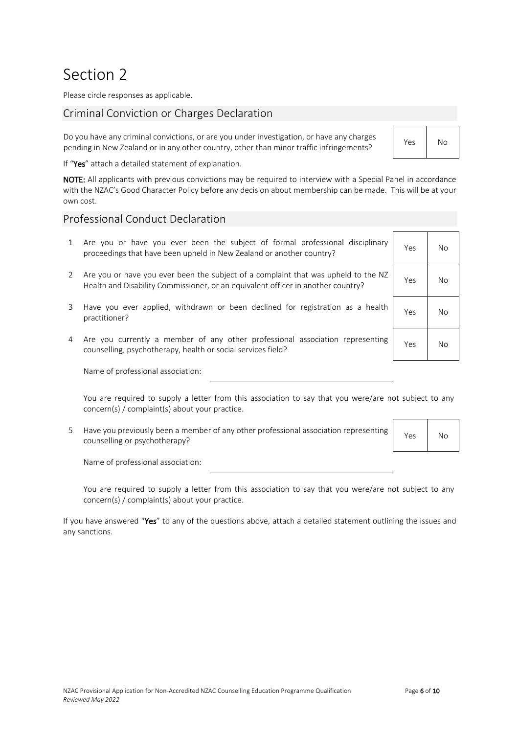# Section 2

Please circle responses as applicable.

# Criminal Conviction or Charges Declaration

Do you have any criminal convictions, or are you under investigation, or have any charges pending in New Zealand or in any other country, other than minor traffic infringements? Yes No

If "Yes" attach a detailed statement of explanation.

NOTE: All applicants with previous convictions may be required to interview with a Special Panel in accordance with the NZAC's Good Character Policy before any decision about membership can be made. This will be at your own cost.

### Professional Conduct Declaration

- 1 Are you or have you ever been the subject of formal professional disciplinary proceedings that have been upheld in New Zealand or another country?
- 2 Are you or have you ever been the subject of a complaint that was upheld to the NZ Health and Disability Commissioner, or an equivalent officer in another country? Yes No
- 3 Have you ever applied, withdrawn or been declined for registration as a health practitioner? Yes No
- 4 Are you currently a member of any other professional association representing External variance of any other professional association representing ves No<br>counselling, psychotherapy, health or social services field?

Name of professional association:

You are required to supply a letter from this association to say that you were/are not subject to any concern(s) / complaint(s) about your practice.

5 Have you previously been a member of any other professional association representing riave you previously been a member of any other professional association representing Yes No

Name of professional association:

You are required to supply a letter from this association to say that you were/are not subject to any concern(s) / complaint(s) about your practice.

If you have answered "Yes" to any of the questions above, attach a detailed statement outlining the issues and any sanctions.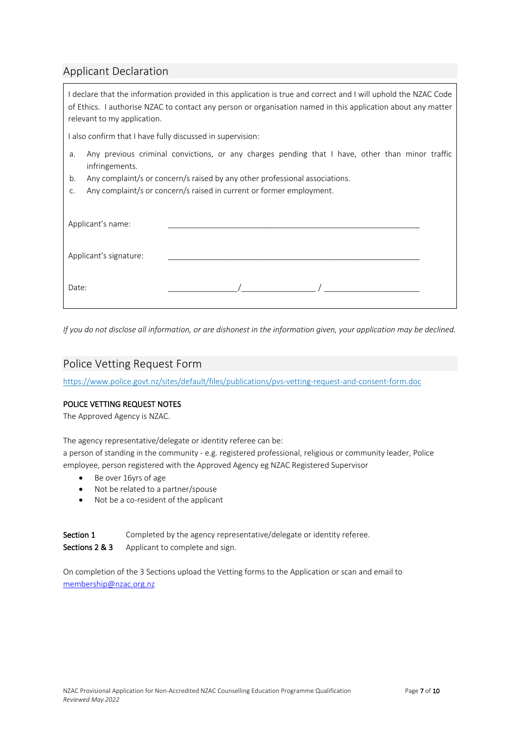# Applicant Declaration

| I declare that the information provided in this application is true and correct and I will uphold the NZAC Code<br>of Ethics. I authorise NZAC to contact any person or organisation named in this application about any matter<br>relevant to my application. |
|----------------------------------------------------------------------------------------------------------------------------------------------------------------------------------------------------------------------------------------------------------------|
| I also confirm that I have fully discussed in supervision:                                                                                                                                                                                                     |
| Any previous criminal convictions, or any charges pending that I have, other than minor traffic<br>a.<br>infringements.                                                                                                                                        |
| Any complaint/s or concern/s raised by any other professional associations.<br>b.                                                                                                                                                                              |
| Any complaint/s or concern/s raised in current or former employment.<br>C.                                                                                                                                                                                     |
|                                                                                                                                                                                                                                                                |
| Applicant's name:                                                                                                                                                                                                                                              |
|                                                                                                                                                                                                                                                                |
| Applicant's signature:                                                                                                                                                                                                                                         |
| Date:                                                                                                                                                                                                                                                          |

*If you do not disclose all information, or are dishonest in the information given, your application may be declined.*

## Police Vetting Request Form

https://www.police.govt.nz/sites/default/files/publications/pvs-vetting-request-and-consent-form.doc

#### POLICE VETTING REQUEST NOTES

The Approved Agency is NZAC.

The agency representative/delegate or identity referee can be:

a person of standing in the community - e.g. registered professional, religious or community leader, Police employee, person registered with the Approved Agency eg NZAC Registered Supervisor

- Be over 16yrs of age
- Not be related to a partner/spouse
- Not be a co-resident of the applicant

Section 1 Completed by the agency representative/delegate or identity referee. Sections 2 & 3 Applicant to complete and sign.

On completion of the 3 Sections upload the Vetting forms to the Application or scan and email to membership@nzac.org.nz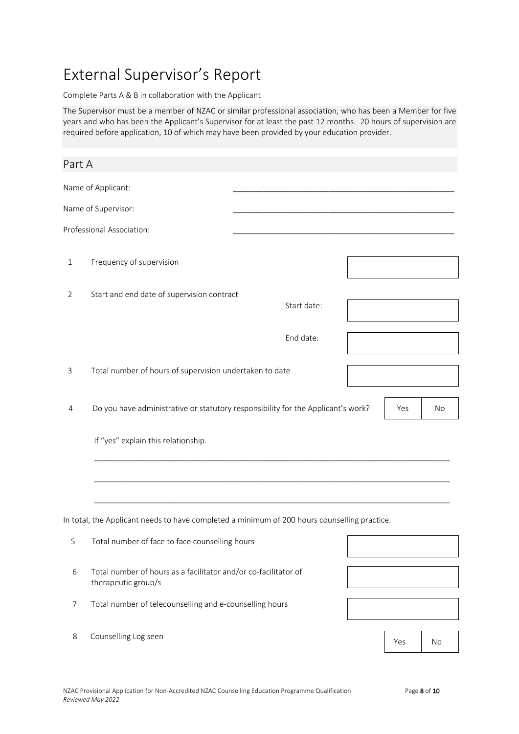# External Supervisor's Report

Complete Parts A & B in collaboration with the Applicant

The Supervisor must be a member of NZAC or similar professional association, who has been a Member for five years and who has been the Applicant's Supervisor for at least the past 12 months. 20 hours of supervision are required before application, 10 of which may have been provided by your education provider.

| Part A         |                                                                                              |             |     |    |
|----------------|----------------------------------------------------------------------------------------------|-------------|-----|----|
|                |                                                                                              |             |     |    |
|                | Name of Applicant:                                                                           |             |     |    |
|                | Name of Supervisor:                                                                          |             |     |    |
|                | Professional Association:                                                                    |             |     |    |
| $\mathbf 1$    | Frequency of supervision                                                                     |             |     |    |
| 2              | Start and end date of supervision contract                                                   | Start date: |     |    |
|                |                                                                                              | End date:   |     |    |
| 3              | Total number of hours of supervision undertaken to date                                      |             |     |    |
| 4              | Do you have administrative or statutory responsibility for the Applicant's work?             |             | Yes | No |
|                | If "yes" explain this relationship.                                                          |             |     |    |
|                |                                                                                              |             |     |    |
|                | In total, the Applicant needs to have completed a minimum of 200 hours counselling practice. |             |     |    |
| 5              | Total number of face to face counselling hours                                               |             |     |    |
| 6              | Total number of hours as a facilitator and/or co-facilitator of<br>therapeutic group/s       |             |     |    |
| $\overline{7}$ | Total number of telecounselling and e-counselling hours                                      |             |     |    |
| 8              | Counselling Log seen                                                                         |             | Yes | No |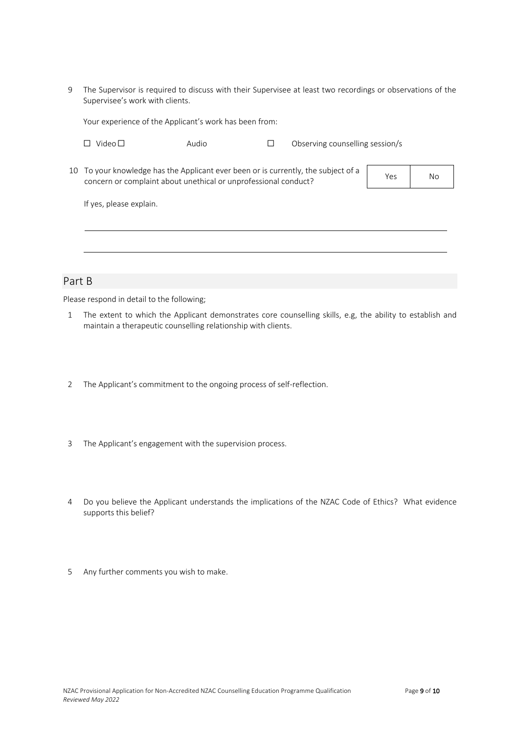9 The Supervisor is required to discuss with their Supervisee at least two recordings or observations of the Supervisee's work with clients.

Your experience of the Applicant's work has been from:

☐ Video☐ Audio ☐ Observing counselling session/s

10 To your knowledge has the Applicant ever been or is currently, the subject of a concern or complaint about unethical or unprofessional conduct?

If yes, please explain.

# Part B

Please respond in detail to the following;

- 1 The extent to which the Applicant demonstrates core counselling skills, e.g, the ability to establish and maintain a therapeutic counselling relationship with clients.
- 2 The Applicant's commitment to the ongoing process of self-reflection.
- 3 The Applicant's engagement with the supervision process.
- 4 Do you believe the Applicant understands the implications of the NZAC Code of Ethics? What evidence supports this belief?
- 5 Any further comments you wish to make.